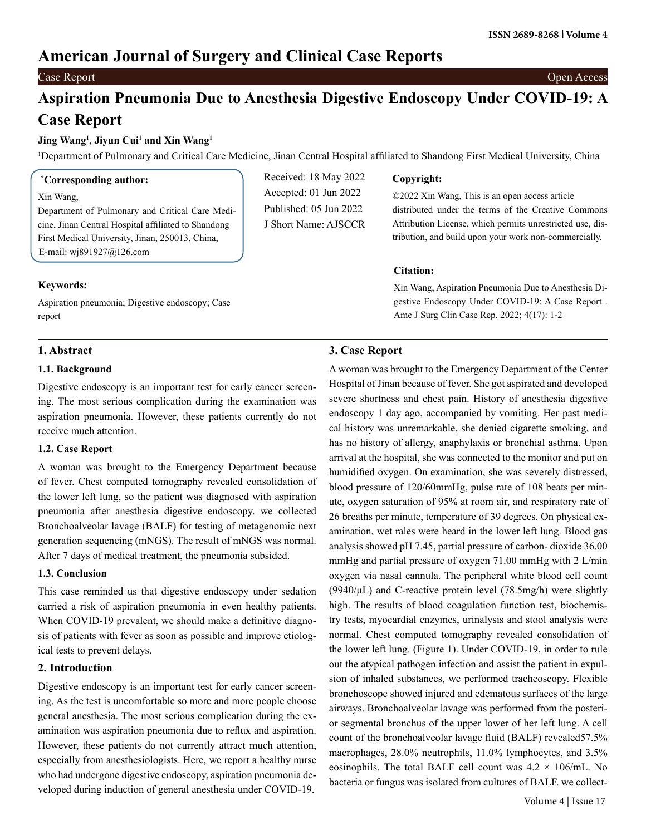# **American Journal of Surgery and Clinical Case Reports**

### Case Report Open Access

# **Aspiration Pneumonia Due to Anesthesia Digestive Endoscopy Under COVID-19: A Case Report**

#### **Jing Wang1 , Jiyun Cui1 and Xin Wang1**

1 Department of Pulmonary and Critical Care Medicine, Jinan Central Hospital affiliated to Shandong First Medical University, China

#### **\* Corresponding author:**

#### Xin Wang,

Department of Pulmonary and Critical Care Medicine, Jinan Central Hospital affiliated to Shandong First Medical University, Jinan, 250013, China, E-mail: [wj891927@126.com](mailto:wj891927@126.com)

Aspiration pneumonia; Digestive endoscopy; Case

## Received: 18 May 2022 Accepted: 01 Jun 2022 Published: 05 Jun 2022 J Short Name: AJSCCR

#### **Copyright:**

©2022 Xin Wang, This is an open access article distributed under the terms of the Creative Commons Attribution License, which permits unrestricted use, distribution, and build upon your work non-commercially.

#### **Citation:**

Xin Wang, Aspiration Pneumonia Due to Anesthesia Digestive Endoscopy Under COVID-19: A Case Report . Ame J Surg Clin Case Rep. 2022; 4(17): 1-2

### **1. Abstract**

**Keywords:**

report

#### **1.1. Background**

Digestive endoscopy is an important test for early cancer screening. The most serious complication during the examination was aspiration pneumonia. However, these patients currently do not receive much attention.

#### **1.2. Case Report**

A woman was brought to the Emergency Department because of fever. Chest computed tomography revealed consolidation of the lower left lung, so the patient was diagnosed with aspiration pneumonia after anesthesia digestive endoscopy. we collected Bronchoalveolar lavage (BALF) for testing of metagenomic next generation sequencing (mNGS). The result of mNGS was normal. After 7 days of medical treatment, the pneumonia subsided.

#### **1.3. Conclusion**

This case reminded us that digestive endoscopy under sedation carried a risk of aspiration pneumonia in even healthy patients. When COVID-19 prevalent, we should make a definitive diagnosis of patients with fever as soon as possible and improve etiological tests to prevent delays.

#### **2. Introduction**

Digestive endoscopy is an important test for early cancer screening. As the test is uncomfortable so more and more people choose general anesthesia. The most serious complication during the examination was aspiration pneumonia due to reflux and aspiration. However, these patients do not currently attract much attention, especially from anesthesiologists. Here, we report a healthy nurse who had undergone digestive endoscopy, aspiration pneumonia developed during induction of general anesthesia under COVID-19.

#### **3. Case Report**

A woman was brought to the Emergency Department of the Center Hospital of Jinan because of fever. She got aspirated and developed severe shortness and chest pain. History of anesthesia digestive endoscopy 1 day ago, accompanied by vomiting. Her past medical history was unremarkable, she denied cigarette smoking, and has no history of allergy, anaphylaxis or bronchial asthma. Upon arrival at the hospital, she was connected to the monitor and put on humidified oxygen. On examination, she was severely distressed, blood pressure of 120/60mmHg, pulse rate of 108 beats per minute, oxygen saturation of 95% at room air, and respiratory rate of 26 breaths per minute, temperature of 39 degrees. On physical examination, wet rales were heard in the lower left lung. Blood gas analysis showed pH 7.45, partial pressure of carbon- dioxide 36.00 mmHg and partial pressure of oxygen 71.00 mmHg with 2 L/min oxygen via nasal cannula. The peripheral white blood cell count (9940/ $\mu$ L) and C-reactive protein level (78.5mg/h) were slightly high. The results of blood coagulation function test, biochemistry tests, myocardial enzymes, urinalysis and stool analysis were normal. Chest computed tomography revealed consolidation of the lower left lung. (Figure 1). Under COVID-19, in order to rule out the atypical pathogen infection and assist the patient in expulsion of inhaled substances, we performed tracheoscopy. Flexible bronchoscope showed injured and edematous surfaces of the large airways. Bronchoalveolar lavage was performed from the posterior segmental bronchus of the upper lower of her left lung. A cell count of the bronchoalveolar lavage fluid (BALF) revealed57.5% macrophages, 28.0% neutrophils, 11.0% lymphocytes, and 3.5% eosinophils. The total BALF cell count was  $4.2 \times 106$ /mL. No bacteria or fungus was isolated from cultures of BALF. we collect